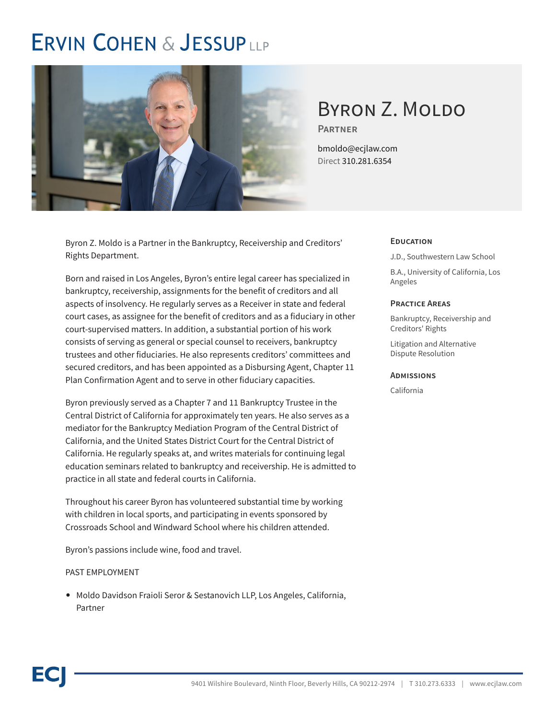## **ERVIN COHEN & JESSUPLLP**



# BYRON Z. MOLDO

**Partner**

bmoldo@ecjlaw.com Direct 310.281.6354

Byron Z. Moldo is a Partner in the Bankruptcy, Receivership and Creditors' Rights Department.

Born and raised in Los Angeles, Byron's entire legal career has specialized in bankruptcy, receivership, assignments for the benefit of creditors and all aspects of insolvency. He regularly serves as a Receiver in state and federal court cases, as assignee for the benefit of creditors and as a fiduciary in other court-supervised matters. In addition, a substantial portion of his work consists of serving as general or special counsel to receivers, bankruptcy trustees and other fiduciaries. He also represents creditors' committees and secured creditors, and has been appointed as a Disbursing Agent, Chapter 11 Plan Confirmation Agent and to serve in other fiduciary capacities.

Byron previously served as a Chapter 7 and 11 Bankruptcy Trustee in the Central District of California for approximately ten years. He also serves as a mediator for the Bankruptcy Mediation Program of the Central District of California, and the United States District Court for the Central District of California. He regularly speaks at, and writes materials for continuing legal education seminars related to bankruptcy and receivership. He is admitted to practice in all state and federal courts in California.

Throughout his career Byron has volunteered substantial time by working with children in local sports, and participating in events sponsored by Crossroads School and Windward School where his children attended.

Byron's passions include wine, food and travel.

#### PAST EMPLOYMENT

● Moldo Davidson Fraioli Seror & Sestanovich LLP, Los Angeles, California, Partner

#### **Education**

J.D., Southwestern Law School

B.A., University of California, Los Angeles

#### **Practice Areas**

Bankruptcy, Receivership and Creditors' Rights

Litigation and Alternative Dispute Resolution

#### **Admissions**

California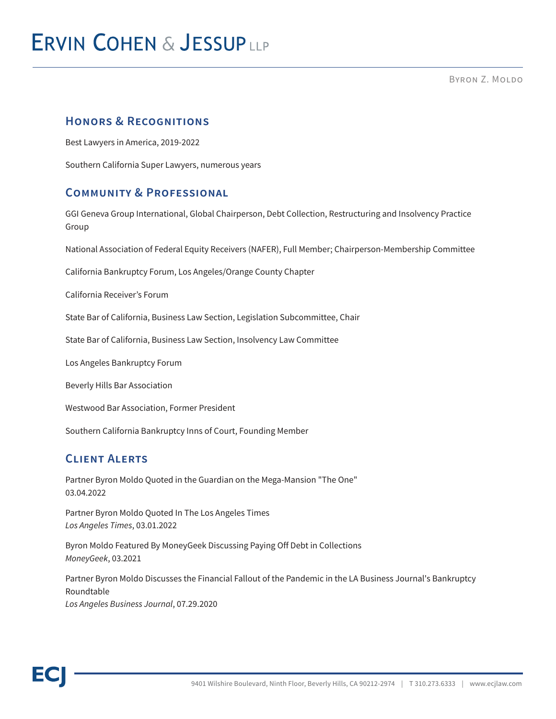BYRON Z. MOLDO

### **Honors & Recognitions**

Best Lawyers in America, 2019-2022

Southern California Super Lawyers, numerous years

#### **Community & Professional**

GGI Geneva Group International, Global Chairperson, Debt Collection, Restructuring and Insolvency Practice Group

National Association of Federal Equity Receivers (NAFER), Full Member; Chairperson-Membership Committee

California Bankruptcy Forum, Los Angeles/Orange County Chapter

California Receiver's Forum

State Bar of California, Business Law Section, Legislation Subcommittee, Chair

State Bar of California, Business Law Section, Insolvency Law Committee

Los Angeles Bankruptcy Forum

Beverly Hills Bar Association

Westwood Bar Association, Former President

Southern California Bankruptcy Inns of Court, Founding Member

### **Client Alerts**

Partner Byron Moldo Quoted in the Guardian on the Mega-Mansion "The One" 03.04.2022

Partner Byron Moldo Quoted In The Los Angeles Times *Los Angeles Times*, 03.01.2022

Byron Moldo Featured By MoneyGeek Discussing Paying Off Debt in Collections *MoneyGeek*, 03.2021

Partner Byron Moldo Discusses the Financial Fallout of the Pandemic in the LA Business Journal's Bankruptcy Roundtable *Los Angeles Business Journal*, 07.29.2020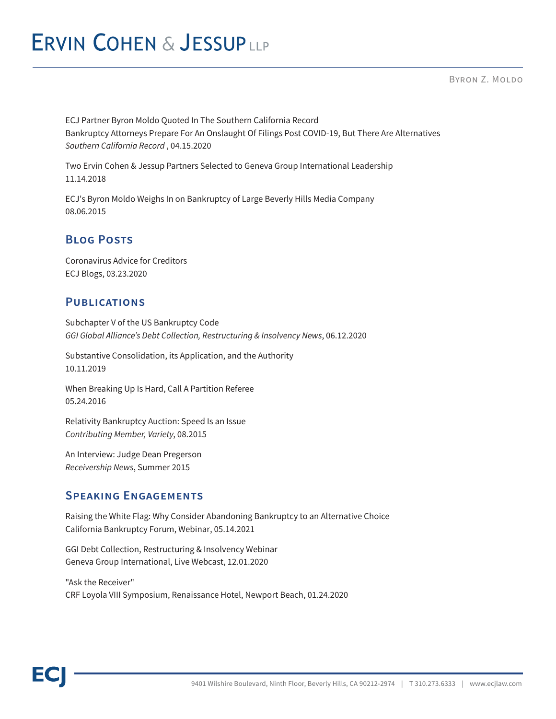## **ERVIN COHEN & JESSUPLLP**

BYRON Z. MOLDO

ECJ Partner Byron Moldo Quoted In The Southern California Record Bankruptcy Attorneys Prepare For An Onslaught Of Filings Post COVID-19, But There Are Alternatives *Southern California Record* , 04.15.2020

Two Ervin Cohen & Jessup Partners Selected to Geneva Group International Leadership 11.14.2018

ECJ's Byron Moldo Weighs In on Bankruptcy of Large Beverly Hills Media Company 08.06.2015

### **Blog Posts**

Coronavirus Advice for Creditors ECJ Blogs, 03.23.2020

#### **Publications**

Subchapter V of the US Bankruptcy Code *GGI Global Alliance's Debt Collection, Restructuring & Insolvency News*, 06.12.2020

Substantive Consolidation, its Application, and the Authority 10.11.2019

When Breaking Up Is Hard, Call A Partition Referee 05.24.2016

Relativity Bankruptcy Auction: Speed Is an Issue *Contributing Member, Variety*, 08.2015

An Interview: Judge Dean Pregerson *Receivership News*, Summer 2015

### **Speaking Engagements**

Raising the White Flag: Why Consider Abandoning Bankruptcy to an Alternative Choice California Bankruptcy Forum, Webinar, 05.14.2021

GGI Debt Collection, Restructuring & Insolvency Webinar Geneva Group International, Live Webcast, 12.01.2020

"Ask the Receiver" CRF Loyola VIII Symposium, Renaissance Hotel, Newport Beach, 01.24.2020